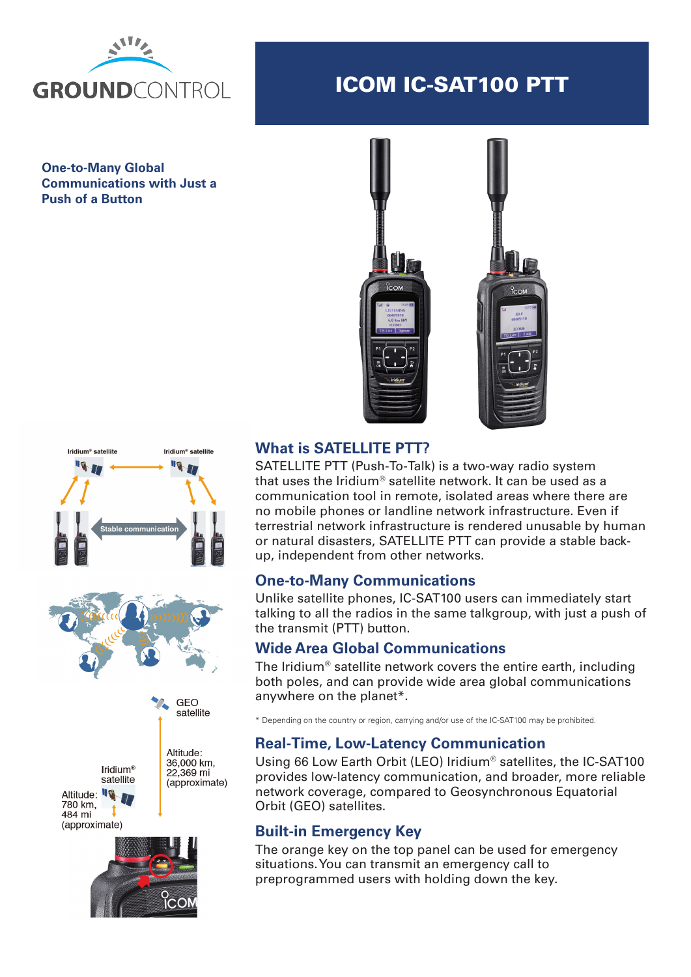

# ICOM IC-SAT100 PTT

**One-to-Many Global Communications with Just a Push of a Button**





### **What is SATELLITE PTT?**

SATELLITE PTT (Push-To-Talk) is a two-way radio system that uses the Iridium® satellite network. It can be used as a communication tool in remote, isolated areas where there are no mobile phones or landline network infrastructure. Even if terrestrial network infrastructure is rendered unusable by human or natural disasters, SATELLITE PTT can provide a stable backup, independent from other networks.

#### **One-to-Many Communications**

Unlike satellite phones, IC-SAT100 users can immediately start talking to all the radios in the same talkgroup, with just a push of the transmit (PTT) button.

#### **Wide Area Global Communications**

The Iridium® satellite network covers the entire earth, including both poles, and can provide wide area global communications anywhere on the planet\*.

\* Depending on the country or region, carrying and/or use of the IC-SAT100 may be prohibited.

#### **Real-Time, Low-Latency Communication**

Using 66 Low Earth Orbit (LEO) Iridium® satellites, the IC-SAT100 provides low-latency communication, and broader, more reliable network coverage, compared to Geosynchronous Equatorial Orbit (GEO) satellites.

#### **Built-in Emergency Key**

The orange key on the top panel can be used for emergency situations. You can transmit an emergency call to preprogrammed users with holding down the key.